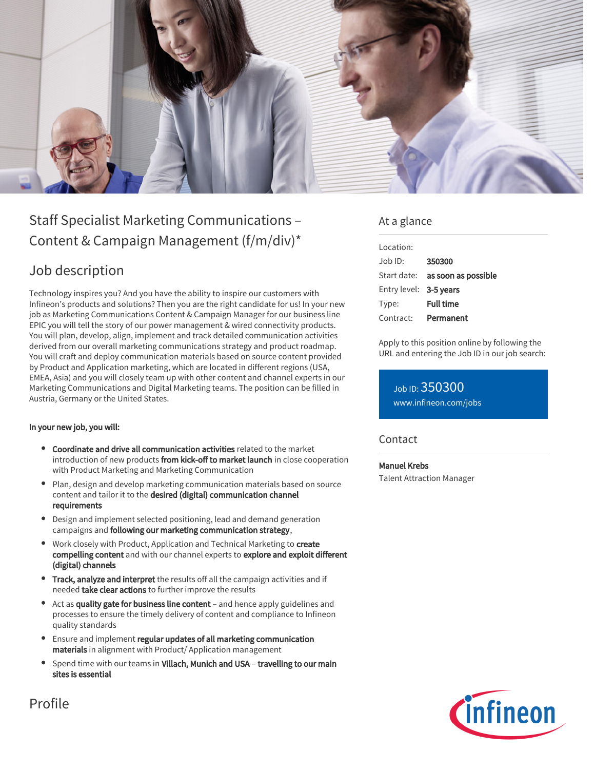

# Staff Specialist Marketing Communications – Content & Campaign Management (f/m/div)\*

## Job description

Technology inspires you? And you have the ability to inspire our customers with Infineon's products and solutions? Then you are the right candidate for us! In your new job as Marketing Communications Content & Campaign Manager for our business line EPIC you will tell the story of our power management & wired connectivity products. You will plan, develop, align, implement and track detailed communication activities derived from our overall marketing communications strategy and product roadmap. You will craft and deploy communication materials based on source content provided by Product and Application marketing, which are located in different regions (USA, EMEA, Asia) and you will closely team up with other content and channel experts in our Marketing Communications and Digital Marketing teams. The position can be filled in Austria, Germany or the United States.

#### In your new job, you will:

- Coordinate and drive all communication activities related to the market introduction of new products from kick-off to market launch in close cooperation with Product Marketing and Marketing Communication
- Plan, design and develop marketing communication materials based on source content and tailor it to the desired (digital) communication channel requirements
- Design and implement selected positioning, lead and demand generation campaigns and following our marketing communication strategy,
- Work closely with Product, Application and Technical Marketing to create compelling content and with our channel experts to explore and exploit different (digital) channels
- **Track, analyze and interpret** the results off all the campaign activities and if needed take clear actions to further improve the results
- Act as quality gate for business line content and hence apply guidelines and processes to ensure the timely delivery of content and compliance to Infineon quality standards
- Ensure and implement regular updates of all marketing communication materials in alignment with Product/ Application management
- Spend time with our teams in Villach, Munich and USA travelling to our main sites is essential

### At a glance

| Location:              |                                        |
|------------------------|----------------------------------------|
| $Job$ ID:              | 350300                                 |
|                        | Start date: <b>as soon as possible</b> |
| Entry level: 3-5 years |                                        |
| Type:                  | <b>Full time</b>                       |
| Contract:              | Permanent                              |

Apply to this position online by following the URL and entering the Job ID in our job search:

Job ID: 350300 [www.infineon.com/jobs](https://www.infineon.com/jobs)

### **Contact**

#### Manuel Krebs

Talent Attraction Manager



Profile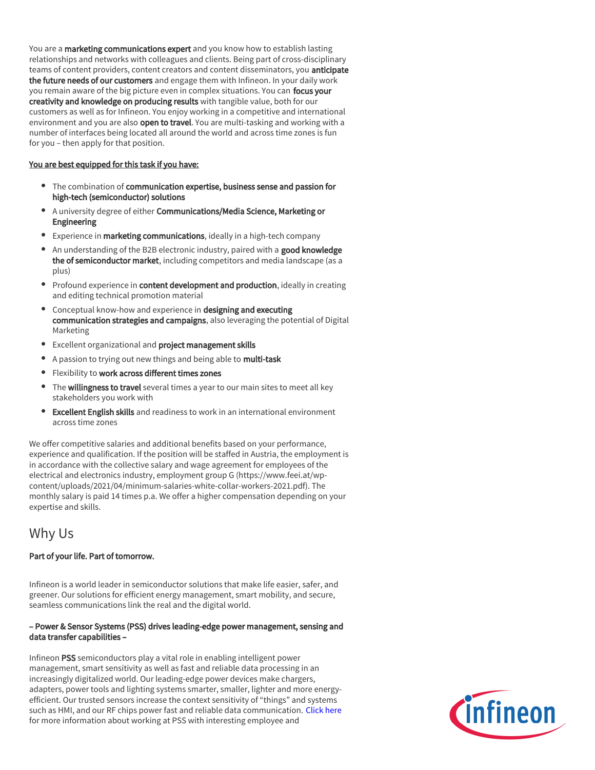You are a marketing communications expert and you know how to establish lasting relationships and networks with colleagues and clients. Being part of cross-disciplinary teams of content providers, content creators and content disseminators, you **anticipate** the future needs of our customers and engage them with Infineon. In your daily work you remain aware of the big picture even in complex situations. You can focus your creativity and knowledge on producing results with tangible value, both for our customers as well as for Infineon. You enjoy working in a competitive and international environment and you are also open to travel. You are multi-tasking and working with a number of interfaces being located all around the world and across time zones is fun for you – then apply for that position.

#### You are best equipped for this task if you have:

- The combination of communication expertise, business sense and passion for high-tech (semiconductor) solutions
- A university degree of either Communications/Media Science, Marketing or Engineering
- **Experience in marketing communications**, ideally in a high-tech company
- An understanding of the B2B electronic industry, paired with a good knowledge the of semiconductor market, including competitors and media landscape (as a plus)
- Profound experience in content development and production, ideally in creating and editing technical promotion material
- Conceptual know-how and experience in designing and executing communication strategies and campaigns, also leveraging the potential of Digital Marketing
- **Excellent organizational and project management skills**
- A passion to trying out new things and being able to multi-task
- **•** Flexibility to work across different times zones
- The willingness to travel several times a year to our main sites to meet all key stakeholders you work with
- Excellent English skills and readiness to work in an international environment across time zones

We offer competitive salaries and additional benefits based on your performance, experience and qualification. If the position will be staffed in Austria, the employment is in accordance with the collective salary and wage agreement for employees of the electrical and electronics industry, employment group G (https://www.feei.at/wpcontent/uploads/2021/04/minimum-salaries-white-collar-workers-2021.pdf). The monthly salary is paid 14 times p.a. We offer a higher compensation depending on your expertise and skills.

## Why Us

#### Part of your life. Part of tomorrow.

Infineon is a world leader in semiconductor solutions that make life easier, safer, and greener. Our solutions for efficient energy management, smart mobility, and secure, seamless communications link the real and the digital world.

#### – Power & Sensor Systems (PSS) drives leading-edge power management, sensing and data transfer capabilities –

Infineon PSS semiconductors play a vital role in enabling intelligent power management, smart sensitivity as well as fast and reliable data processing in an increasingly digitalized world. Our leading-edge power devices make chargers, adapters, power tools and lighting systems smarter, smaller, lighter and more energyefficient. Our trusted sensors increase the context sensitivity of "things" and systems such as HMI, and our RF chips power fast and reliable data communication. [Click here](https://www.infineon.com/cms/en/careers/working-at-infineon/PSSDreamJob/) for more information about working at PSS with interesting employee and